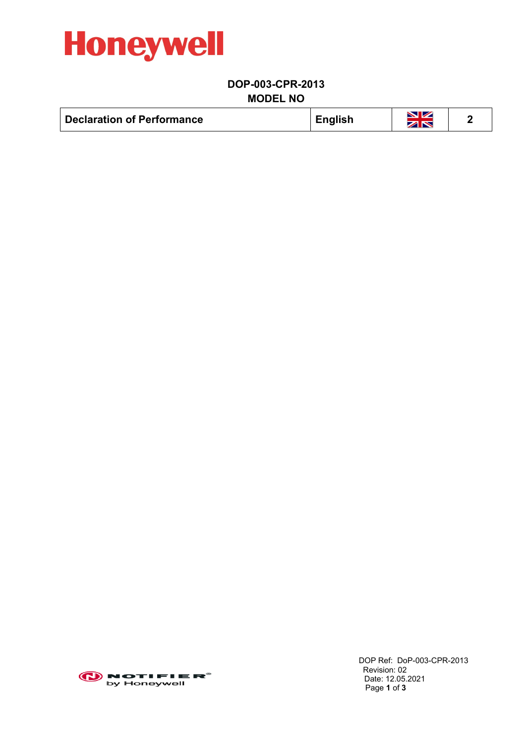

## **DOP-003-CPR-2013 MODEL NO**

| <b>English</b>                    | <b>NZ</b> |
|-----------------------------------|-----------|
| <b>Declaration of Performance</b> | ZN        |



 DOP Ref: DoP-003-CPR-2013 Revision: 02 Date: 12.05.2021 Page **1** of **3**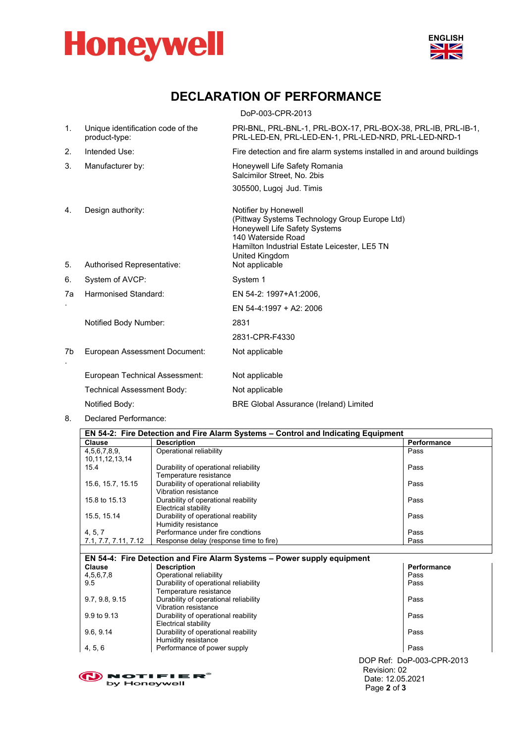



## **DECLARATION OF PERFORMANCE**

<span id="page-1-0"></span>

|    |                                                    | DoP-003-CPR-2013                                                                                                                                                                               |
|----|----------------------------------------------------|------------------------------------------------------------------------------------------------------------------------------------------------------------------------------------------------|
| 1. | Unique identification code of the<br>product-type: | PRI-BNL, PRL-BNL-1, PRL-BOX-17, PRL-BOX-38, PRL-IB, PRL-IB-1,<br>PRL-LED-EN, PRL-LED-EN-1, PRL-LED-NRD, PRL-LED-NRD-1                                                                          |
| 2. | Intended Use:                                      | Fire detection and fire alarm systems installed in and around buildings                                                                                                                        |
| 3. | Manufacturer by:                                   | Honeywell Life Safety Romania<br>Salcimilor Street, No. 2bis                                                                                                                                   |
|    |                                                    | 305500, Lugoj Jud. Timis                                                                                                                                                                       |
| 4. | Design authority:                                  | Notifier by Honewell<br>(Pittway Systems Technology Group Europe Ltd)<br>Honeywell Life Safety Systems<br>140 Waterside Road<br>Hamilton Industrial Estate Leicester, LE5 TN<br>United Kingdom |
| 5. | Authorised Representative:                         | Not applicable                                                                                                                                                                                 |
| 6. | System of AVCP:                                    | System 1                                                                                                                                                                                       |
| 7a | Harmonised Standard:                               | EN 54-2: 1997+A1:2006,                                                                                                                                                                         |
|    |                                                    | EN 54-4:1997 + A2: 2006                                                                                                                                                                        |
|    | Notified Body Number:                              | 2831                                                                                                                                                                                           |
|    |                                                    | 2831-CPR-F4330                                                                                                                                                                                 |
| 7b | European Assessment Document:                      | Not applicable                                                                                                                                                                                 |
|    | European Technical Assessment:                     | Not applicable                                                                                                                                                                                 |
|    | Technical Assessment Body:                         | Not applicable                                                                                                                                                                                 |
|    | Notified Body:                                     | <b>BRE Global Assurance (Ireland) Limited</b>                                                                                                                                                  |
| 8. | Declared Performance:                              |                                                                                                                                                                                                |

| <b>Clause</b>                      | <b>Description</b>                                                 | Performance |
|------------------------------------|--------------------------------------------------------------------|-------------|
| 4,5,6,7,8,9,<br>10, 11, 12, 13, 14 | Operational reliability                                            | Pass        |
| 15.4                               | Durability of operational reliability<br>Temperature resistance    | Pass        |
| 15.6, 15.7, 15.15                  | Durability of operational reliability<br>Vibration resistance      | Pass        |
| 15.8 to 15.13                      | Durability of operational reability<br><b>Electrical stability</b> | Pass        |
| 15.5, 15.14                        | Durability of operational reability<br>Humidity resistance         | Pass        |
| 4, 5, 7                            | Performance under fire condtions                                   | Pass        |
| 7.1, 7.7, 7.11, 7.12               | Response delay (response time to fire)                             | Pass        |

| EN 54-4: Fire Detection and Fire Alarm Systems - Power supply equipment |                                       |                           |  |  |  |
|-------------------------------------------------------------------------|---------------------------------------|---------------------------|--|--|--|
| Clause                                                                  | <b>Description</b>                    | Performance               |  |  |  |
| 4,5,6,7,8                                                               | Operational reliability               | Pass                      |  |  |  |
| 9.5                                                                     | Durability of operational reliability | Pass                      |  |  |  |
|                                                                         | Temperature resistance                |                           |  |  |  |
| 9.7, 9.8, 9.15                                                          | Durability of operational reliability | Pass                      |  |  |  |
|                                                                         | Vibration resistance                  |                           |  |  |  |
| 9.9 to 9.13                                                             | Durability of operational reability   | Pass                      |  |  |  |
|                                                                         | Electrical stability                  |                           |  |  |  |
| 9.6, 9.14                                                               | Durability of operational reability   | Pass                      |  |  |  |
|                                                                         | Humidity resistance                   |                           |  |  |  |
| 4, 5, 6                                                                 | Performance of power supply           | Pass                      |  |  |  |
|                                                                         |                                       | DOP Ref: DoP-003-CPR-2013 |  |  |  |
|                                                                         |                                       | $D = 1$                   |  |  |  |

 Revision: 02 Date: 12.05.2021 Page **2** of **3**